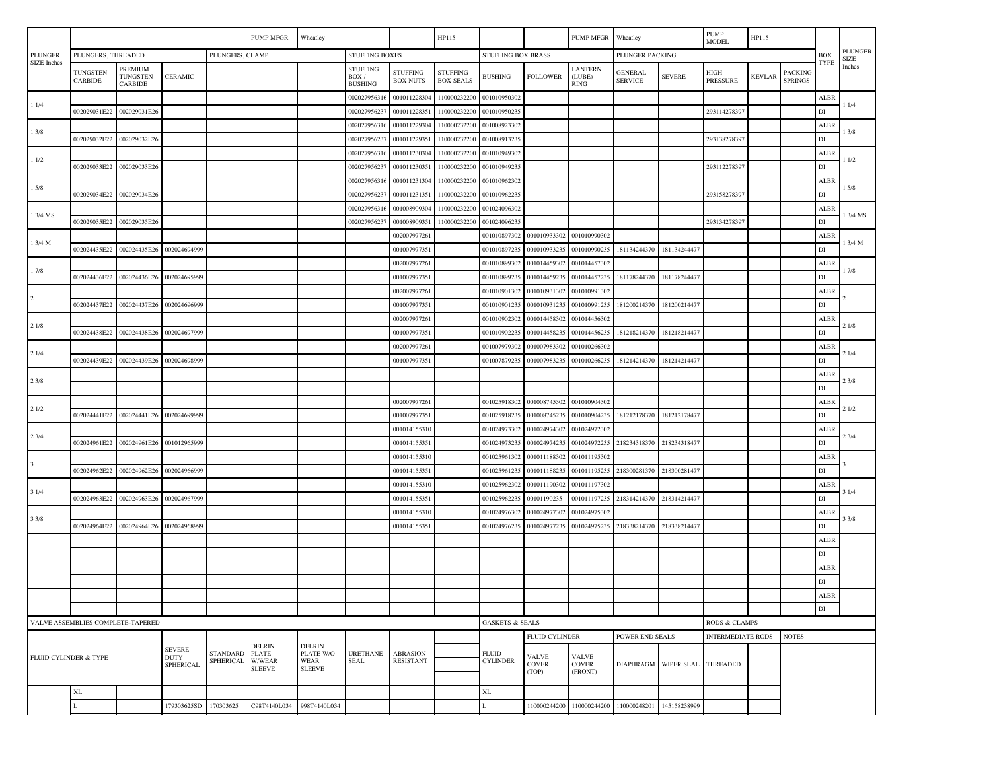|                                   |                                   |                                                  |                              |                                                          | PUMP MFGR                                           | Wheatley                |                                            |                                    | HP115                               |                                       |                                         | PUMP MFGR Wheatley               |                                  |                          | <b>PUMP</b><br><b>MODEL</b> | HP115         |                                  |               |                               |
|-----------------------------------|-----------------------------------|--------------------------------------------------|------------------------------|----------------------------------------------------------|-----------------------------------------------------|-------------------------|--------------------------------------------|------------------------------------|-------------------------------------|---------------------------------------|-----------------------------------------|----------------------------------|----------------------------------|--------------------------|-----------------------------|---------------|----------------------------------|---------------|-------------------------------|
| <b>PLUNGER</b>                    | PLUNGERS, THREADED                |                                                  |                              | PLUNGERS, CLAMP                                          |                                                     |                         | <b>STUFFING BOXES</b>                      |                                    |                                     | STUFFING BOX BRASS                    |                                         |                                  | PLUNGER PACKING                  |                          |                             |               |                                  | <b>BOX</b>    | <b>PLUNGER</b><br><b>SIZE</b> |
| <b>SIZE</b> Inches                | <b>TUNGSTEN</b><br><b>CARBIDE</b> | PREMIUM<br><b>TUNGSTEN</b><br><b>CARBIDE</b>     | <b>CERAMIC</b>               |                                                          |                                                     |                         | <b>STUFFING</b><br>BOX /<br><b>BUSHING</b> | <b>STUFFING</b><br><b>BOX NUTS</b> | <b>STUFFING</b><br><b>BOX SEALS</b> | <b>BUSHING</b>                        | <b>FOLLOWER</b>                         | LANTERN<br>(LUBE)<br><b>RING</b> | <b>GENERAL</b><br><b>SERVICE</b> | <b>SEVERE</b>            | HIGH<br>PRESSURE            | <b>KEVLAR</b> | <b>PACKING</b><br><b>SPRINGS</b> | TYPE          | Inches                        |
|                                   |                                   |                                                  |                              |                                                          |                                                     |                         | 002027956316                               | 001011228304                       | 110000232200                        | 001010950302                          |                                         |                                  |                                  |                          |                             |               |                                  | ALBR          |                               |
| 11/4                              | 002029031E22                      | 002029031E26                                     |                              |                                                          |                                                     |                         | 002027956237                               | 001011228351                       | 110000232200                        | 001010950235                          |                                         |                                  |                                  |                          | 293114278397                |               |                                  | DI            | 11/4                          |
| 13/8                              |                                   |                                                  |                              |                                                          |                                                     |                         | 002027956316                               | 001011229304                       | 110000232200                        | 001008923302                          |                                         |                                  |                                  |                          |                             |               |                                  | ALBR          | 13/8                          |
|                                   | 002029032E22                      | 002029032E26                                     |                              |                                                          |                                                     |                         | 002027956237                               | 001011229351                       | 110000232200                        | 001008913235                          |                                         |                                  |                                  |                          | 29313827839                 |               |                                  | DI            | 11/2                          |
| 11/2                              |                                   |                                                  |                              |                                                          |                                                     |                         | 002027956316                               | 001011230304                       | 110000232200                        | 001010949302                          |                                         |                                  |                                  |                          |                             |               |                                  | ALBR          |                               |
|                                   |                                   | 002029033E22 002029033E26                        |                              |                                                          |                                                     |                         | 002027956237                               | 001011230351                       | 110000232200                        | 001010949235                          |                                         |                                  |                                  |                          | 293112278397                |               |                                  | DI            |                               |
| 15/8                              |                                   |                                                  |                              |                                                          |                                                     |                         | 002027956316                               | 001011231304                       | 110000232200                        | 001010962302                          |                                         |                                  |                                  |                          |                             |               |                                  | ALBR          | 15/8                          |
|                                   | 002029034E22                      | 002029034E26                                     |                              |                                                          |                                                     |                         | 002027956237                               | 001011231351                       | 110000232200                        | 001010962235                          |                                         |                                  |                                  |                          | 293158278397                |               |                                  | DI            |                               |
| 1 3/4 MS                          |                                   |                                                  |                              |                                                          |                                                     |                         | 002027956316                               | 001008909304                       | 110000232200                        | 001024096302                          |                                         |                                  |                                  |                          |                             |               |                                  | ALBR          | 1 3/4 MS                      |
|                                   | 002029035E22                      | 002029035E26                                     |                              |                                                          |                                                     |                         | 002027956237                               | 001008909351                       | 110000232200                        | 001024096235                          |                                         |                                  |                                  |                          | 29313427839                 |               |                                  | DI            |                               |
| 1 3/4 M                           |                                   |                                                  |                              |                                                          |                                                     |                         |                                            | 002007977261                       |                                     | 001010897302                          | 001010933302                            | 001010990302                     |                                  |                          |                             |               |                                  | ALBR          | 1 3/4 M                       |
|                                   |                                   | 002024435E22 002024435E26                        | 002024694999                 |                                                          |                                                     |                         |                                            | 001007977351                       |                                     | 001010897235                          | 001010933235                            | 00101099023:                     | 181134244370 181134244477        |                          |                             |               |                                  | $_{\rm DI}$   |                               |
| 17/8                              |                                   |                                                  |                              |                                                          |                                                     |                         |                                            | 002007977261                       |                                     | 001010899302                          | 001014459302                            | 001014457302                     |                                  |                          |                             |               |                                  | ALBR          | 17/8                          |
|                                   | 002024436E22                      | 002024436E26                                     | 002024695999                 |                                                          |                                                     |                         |                                            | 001007977351                       |                                     | 001010899235                          | 001014459235                            | 00101445723:                     | 181178244370                     | 181178244477             |                             |               |                                  | $_{\rm DI}$   |                               |
| $\overline{2}$                    |                                   |                                                  |                              |                                                          |                                                     |                         |                                            | 002007977261                       |                                     | 001010901302                          | 001010931302                            | 001010991302                     |                                  |                          |                             |               |                                  | ALBR          |                               |
|                                   | 002024437E22                      | 002024437E26                                     | 002024696999                 |                                                          |                                                     |                         |                                            | 001007977351                       |                                     | 001010901235                          | 001010931235                            | 001010991235                     | 181200214370                     | 181200214477             |                             |               |                                  | DI            |                               |
| 21/8                              |                                   |                                                  |                              |                                                          |                                                     |                         |                                            | 002007977261                       |                                     | 001010902302                          | 001014458302                            | 001014456302                     |                                  |                          |                             |               |                                  | ALBR          | 21/8                          |
|                                   |                                   | 002024438E22 002024438E26                        | 002024697999                 |                                                          |                                                     |                         |                                            | 001007977351                       |                                     | 001010902235                          | 001014458235                            | 00101445623                      | 181218214370 181218214477        |                          |                             |               |                                  | $_{\rm DI}$   |                               |
| 21/4                              |                                   | 002024439E22 002024439E26                        | 002024698999                 |                                                          |                                                     |                         |                                            | 002007977261<br>001007977351       |                                     | 001007979302<br>001007879235          | 00100798330                             | 001010266302<br>00101026623      | 181214214370                     |                          |                             |               |                                  | ALBR          | 21/4                          |
|                                   |                                   |                                                  |                              |                                                          |                                                     |                         |                                            |                                    |                                     |                                       | 00100798323                             |                                  |                                  | 181214214477             |                             |               |                                  | $_{\rm DI}$   |                               |
| 23/8                              |                                   |                                                  |                              |                                                          |                                                     |                         |                                            |                                    |                                     |                                       |                                         |                                  |                                  |                          |                             |               |                                  | ALBR<br>DI    | 23/8                          |
|                                   |                                   |                                                  |                              |                                                          |                                                     |                         |                                            |                                    |                                     | 001025918302                          | 001008745302                            | 001010904302                     |                                  |                          |                             |               |                                  |               |                               |
| 21/2                              |                                   | 002024441E22 002024441E26                        | 002024699999                 |                                                          |                                                     |                         |                                            | 002007977261<br>001007977351       |                                     | 001025918235                          | 001008745235                            | 001010904235                     | 181212178370                     | 181212178477             |                             |               |                                  | ALBR<br>DI    | 21/2                          |
|                                   |                                   |                                                  |                              |                                                          |                                                     |                         |                                            | 001014155310                       |                                     | 001024973302                          | 001024974302                            | 001024972302                     |                                  |                          |                             |               |                                  | ALBR          |                               |
| 23/4                              | 002024961E22                      | 002024961E26                                     | 001012965999                 |                                                          |                                                     |                         |                                            | 00101415535                        |                                     | 00102497323                           | 00102497423                             | 00102497223                      | 218234318370                     | 218234318477             |                             |               |                                  | $_{\rm DI}$   | 23/4                          |
|                                   |                                   |                                                  |                              |                                                          |                                                     |                         |                                            | 001014155310                       |                                     | 001025961302                          | 001011188302                            | 001011195302                     |                                  |                          |                             |               |                                  | ALBR          |                               |
| $\overline{\mathbf{3}}$           |                                   | 002024962E22 002024962E26                        | 002024966999                 |                                                          |                                                     |                         |                                            | 001014155351                       |                                     | 001025961235                          | 001011188235                            | 001011195235                     | 218300281370                     | 218300281477             |                             |               |                                  | $_{\rm DI}$   |                               |
|                                   |                                   |                                                  |                              |                                                          |                                                     |                         |                                            | 001014155310                       |                                     | 001025962302                          | 001011190302                            | 001011197302                     |                                  |                          |                             |               |                                  | ALBR          |                               |
| 31/4                              |                                   | 002024963E22 002024963E26                        | 002024967999                 |                                                          |                                                     |                         |                                            | 001014155351                       |                                     | 001025962235                          | 00101190235                             | 001011197235                     | 218314214370                     | 218314214477             |                             |               |                                  | $_{\rm DI}$   | 31/4                          |
|                                   |                                   |                                                  |                              |                                                          |                                                     |                         |                                            | 001014155310                       |                                     | 001024976302                          | 00102497730                             | 001024975302                     |                                  |                          |                             |               |                                  | ALBR          |                               |
| 33/8                              | 002024964E22                      | 002024964E26                                     | 002024968999                 |                                                          |                                                     |                         |                                            | 001014155351                       |                                     | 001024976235                          | 00102497723                             | 00102497523                      | 218338214370                     | 218338214477             |                             |               |                                  | DI            | 33/8                          |
|                                   |                                   |                                                  |                              |                                                          |                                                     |                         |                                            |                                    |                                     |                                       |                                         |                                  |                                  |                          |                             |               |                                  | ALBR          |                               |
|                                   |                                   |                                                  |                              |                                                          |                                                     |                         |                                            |                                    |                                     |                                       |                                         |                                  |                                  |                          |                             |               |                                  | DI            |                               |
|                                   |                                   |                                                  |                              |                                                          |                                                     |                         |                                            |                                    |                                     |                                       |                                         |                                  |                                  |                          |                             |               |                                  | ALBR          |                               |
|                                   |                                   |                                                  |                              |                                                          |                                                     |                         |                                            |                                    |                                     |                                       |                                         |                                  |                                  |                          |                             |               |                                  | $_{\rm DI}$   |                               |
|                                   |                                   |                                                  |                              |                                                          |                                                     |                         |                                            |                                    |                                     |                                       |                                         |                                  |                                  |                          |                             |               |                                  | <b>ALBR</b>   |                               |
|                                   |                                   |                                                  |                              |                                                          |                                                     |                         |                                            |                                    |                                     |                                       |                                         |                                  |                                  |                          |                             |               |                                  | $\mathbf{DI}$ |                               |
| VALVE ASSEMBLIES COMPLETE-TAPERED |                                   |                                                  |                              |                                                          |                                                     |                         |                                            |                                    |                                     | <b>GASKETS &amp; SEALS</b>            |                                         |                                  |                                  | RODS & CLAMPS            |                             |               |                                  |               |                               |
|                                   |                                   |                                                  |                              |                                                          |                                                     |                         |                                            |                                    |                                     | <b>FLUID CYLINDER</b>                 |                                         | POWER END SEALS                  |                                  | <b>INTERMEDIATE RODS</b> |                             | <b>NOTES</b>  |                                  |               |                               |
| FLUID CYLINDER & TYPE             |                                   | <b>SEVERE</b><br><b>DUTY</b><br><b>SPHERICAL</b> | <b>STANDARD</b><br>SPHERICAL | <b>DELRIN</b><br><b>PLATE</b><br>W/WEAR<br><b>SLEEVE</b> | <b>DELRIN</b><br>PLATE W/O<br>WEAR<br><b>SLEEVE</b> | <b>URETHANE</b><br>SEAL | <b>ABRASION</b><br><b>RESISTANT</b>        |                                    | <b>FLUID</b><br><b>CYLINDER</b>     | <b>VALVE</b><br><b>COVER</b><br>(TOP) | <b>VALVE</b><br><b>COVER</b><br>(FRONT) |                                  | DIAPHRAGM WIPER SEAL THREADED    |                          |                             |               |                                  |               |                               |
|                                   | XL                                |                                                  |                              |                                                          |                                                     |                         |                                            |                                    |                                     | $\mathbf{XL}$                         |                                         |                                  |                                  |                          |                             |               |                                  |               |                               |
|                                   |                                   |                                                  | 179303625SD                  | 170303625                                                | C98T4140L034                                        | 998T4140L034            |                                            |                                    |                                     | L                                     | 110000244200                            | 110000244200                     | 110000248201                     | 145158238999             |                             |               |                                  |               |                               |
|                                   |                                   |                                                  |                              |                                                          |                                                     |                         |                                            |                                    |                                     |                                       |                                         |                                  |                                  |                          |                             |               |                                  |               |                               |